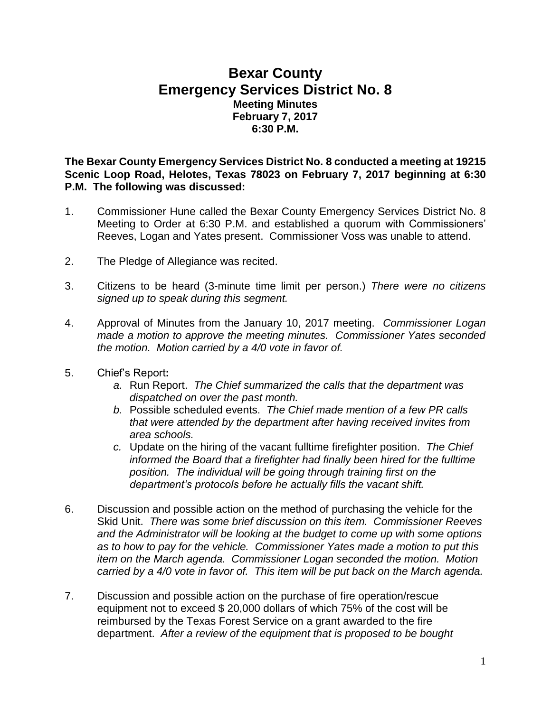## **Bexar County Emergency Services District No. 8 Meeting Minutes February 7, 2017 6:30 P.M.**

**The Bexar County Emergency Services District No. 8 conducted a meeting at 19215 Scenic Loop Road, Helotes, Texas 78023 on February 7, 2017 beginning at 6:30 P.M. The following was discussed:**

- 1. Commissioner Hune called the Bexar County Emergency Services District No. 8 Meeting to Order at 6:30 P.M. and established a quorum with Commissioners' Reeves, Logan and Yates present. Commissioner Voss was unable to attend.
- 2. The Pledge of Allegiance was recited.
- 3. Citizens to be heard (3-minute time limit per person.) *There were no citizens signed up to speak during this segment.*
- 4. Approval of Minutes from the January 10, 2017 meeting. *Commissioner Logan made a motion to approve the meeting minutes. Commissioner Yates seconded the motion. Motion carried by a 4/0 vote in favor of.*
- 5. Chief's Report**:**
	- *a.* Run Report. *The Chief summarized the calls that the department was dispatched on over the past month.*
	- *b.* Possible scheduled events. *The Chief made mention of a few PR calls that were attended by the department after having received invites from area schools.*
	- *c.* Update on the hiring of the vacant fulltime firefighter position. *The Chief informed the Board that a firefighter had finally been hired for the fulltime position. The individual will be going through training first on the department's protocols before he actually fills the vacant shift.*
- 6. Discussion and possible action on the method of purchasing the vehicle for the Skid Unit. *There was some brief discussion on this item. Commissioner Reeves and the Administrator will be looking at the budget to come up with some options as to how to pay for the vehicle. Commissioner Yates made a motion to put this item on the March agenda. Commissioner Logan seconded the motion. Motion carried by a 4/0 vote in favor of. This item will be put back on the March agenda.*
- 7. Discussion and possible action on the purchase of fire operation/rescue equipment not to exceed \$ 20,000 dollars of which 75% of the cost will be reimbursed by the Texas Forest Service on a grant awarded to the fire department. *After a review of the equipment that is proposed to be bought*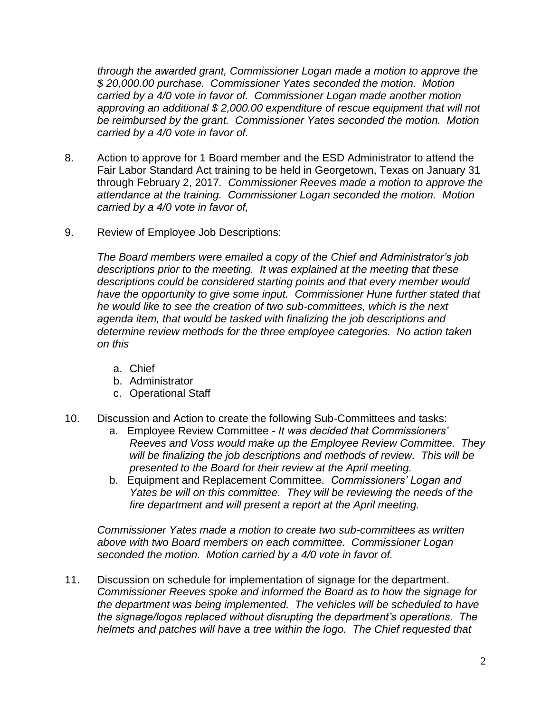*through the awarded grant, Commissioner Logan made a motion to approve the \$ 20,000.00 purchase. Commissioner Yates seconded the motion. Motion carried by a 4/0 vote in favor of. Commissioner Logan made another motion approving an additional \$ 2,000.00 expenditure of rescue equipment that will not be reimbursed by the grant. Commissioner Yates seconded the motion. Motion carried by a 4/0 vote in favor of.* 

- 8. Action to approve for 1 Board member and the ESD Administrator to attend the Fair Labor Standard Act training to be held in Georgetown, Texas on January 31 through February 2, 2017*. Commissioner Reeves made a motion to approve the attendance at the training. Commissioner Logan seconded the motion. Motion carried by a 4/0 vote in favor of,*
- 9. Review of Employee Job Descriptions:

*The Board members were emailed a copy of the Chief and Administrator's job descriptions prior to the meeting. It was explained at the meeting that these descriptions could be considered starting points and that every member would have the opportunity to give some input. Commissioner Hune further stated that he would like to see the creation of two sub-committees, which is the next agenda item, that would be tasked with finalizing the job descriptions and determine review methods for the three employee categories. No action taken on this* 

- a. Chief
- b. Administrator
- c. Operational Staff
- 10. Discussion and Action to create the following Sub-Committees and tasks:
	- a. Employee Review Committee *It was decided that Commissioners' Reeves and Voss would make up the Employee Review Committee. They will be finalizing the job descriptions and methods of review. This will be presented to the Board for their review at the April meeting.*
	- b. Equipment and Replacement Committee. *Commissioners' Logan and Yates be will on this committee. They will be reviewing the needs of the fire department and will present a report at the April meeting.*

*Commissioner Yates made a motion to create two sub-committees as written above with two Board members on each committee. Commissioner Logan seconded the motion. Motion carried by a 4/0 vote in favor of.*

11. Discussion on schedule for implementation of signage for the department. *Commissioner Reeves spoke and informed the Board as to how the signage for the department was being implemented. The vehicles will be scheduled to have the signage/logos replaced without disrupting the department's operations. The helmets and patches will have a tree within the logo. The Chief requested that*